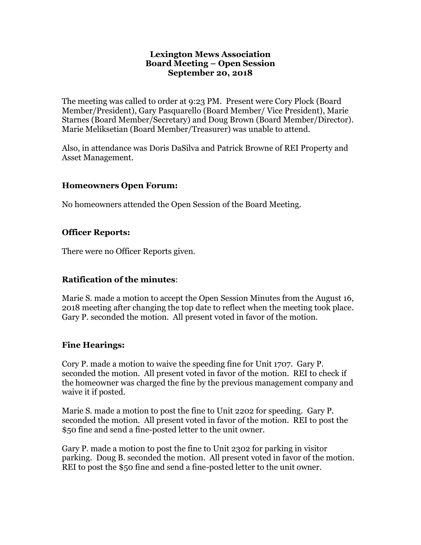#### **Lexington Mews Association Board Meeting – Open Session September 20, 2018**

The meeting was called to order at 9:23 PM. Present were Cory Plock (Board Member/President), Gary Pasquarello (Board Member/ Vice President), Marie Starnes (Board Member/Secretary) and Doug Brown (Board Member/Director). Marie Meliksetian (Board Member/Treasurer) was unable to attend.

Also, in attendance was Doris DaSilva and Patrick Browne of REI Property and Asset Management.

### **Homeowners Open Forum:**

No homeowners attended the Open Session of the Board Meeting.

### **Officer Reports:**

There were no Officer Reports given.

# **Ratification of the minutes**:

Marie S. made a motion to accept the Open Session Minutes from the August 16, 2018 meeting after changing the top date to reflect when the meeting took place. Gary P. seconded the motion. All present voted in favor of the motion.

# **Fine Hearings:**

Cory P. made a motion to waive the speeding fine for Unit 1707. Gary P. seconded the motion. All present voted in favor of the motion. REI to check if the homeowner was charged the fine by the previous management company and waive it if posted.

Marie S. made a motion to post the fine to Unit 2202 for speeding. Gary P. seconded the motion. All present voted in favor of the motion. REI to post the \$50 fine and send a fine-posted letter to the unit owner.

Gary P. made a motion to post the fine to Unit 2302 for parking in visitor parking. Doug B. seconded the motion. All present voted in favor of the motion. REI to post the \$50 fine and send a fine-posted letter to the unit owner.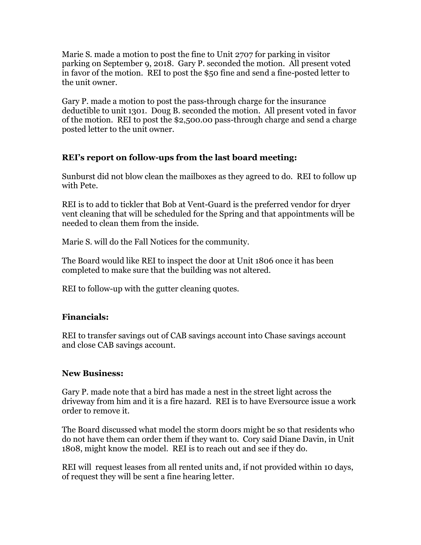Marie S. made a motion to post the fine to Unit 2707 for parking in visitor parking on September 9, 2018. Gary P. seconded the motion. All present voted in favor of the motion. REI to post the \$50 fine and send a fine-posted letter to the unit owner.

Gary P. made a motion to post the pass-through charge for the insurance deductible to unit 1301. Doug B. seconded the motion. All present voted in favor of the motion. REI to post the \$2,500.00 pass-through charge and send a charge posted letter to the unit owner.

### **REI's report on follow-ups from the last board meeting:**

Sunburst did not blow clean the mailboxes as they agreed to do. REI to follow up with Pete.

REI is to add to tickler that Bob at Vent-Guard is the preferred vendor for dryer vent cleaning that will be scheduled for the Spring and that appointments will be needed to clean them from the inside.

Marie S. will do the Fall Notices for the community.

The Board would like REI to inspect the door at Unit 1806 once it has been completed to make sure that the building was not altered.

REI to follow-up with the gutter cleaning quotes.

# **Financials:**

REI to transfer savings out of CAB savings account into Chase savings account and close CAB savings account.

### **New Business:**

Gary P. made note that a bird has made a nest in the street light across the driveway from him and it is a fire hazard. REI is to have Eversource issue a work order to remove it.

The Board discussed what model the storm doors might be so that residents who do not have them can order them if they want to. Cory said Diane Davin, in Unit 1808, might know the model. REI is to reach out and see if they do.

REI will request leases from all rented units and, if not provided within 10 days, of request they will be sent a fine hearing letter.